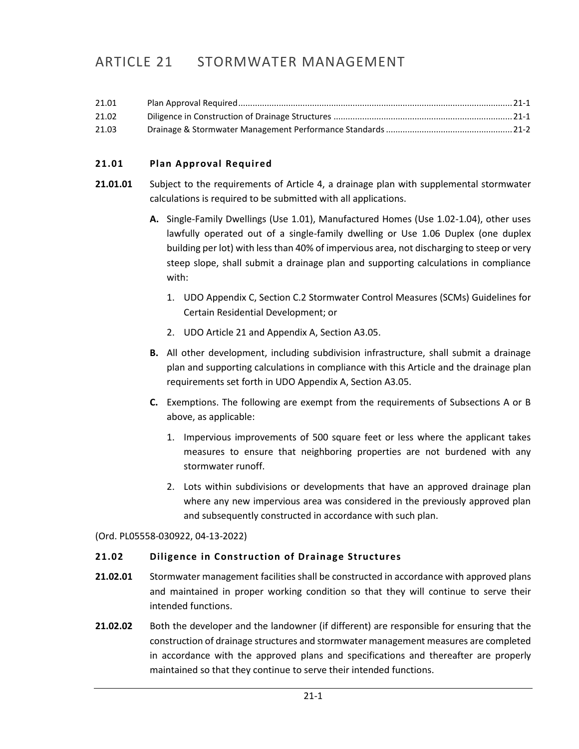# ARTICLE 21 STORMWATER MANAGEMENT

| 21.01 |  |
|-------|--|
| 21.02 |  |
| 21.03 |  |

## <span id="page-0-0"></span>**21.01 Plan Approval Required**

- **21.01.01** Subject to the requirements of Article 4, a drainage plan with supplemental stormwater calculations is required to be submitted with all applications.
	- **A.** Single-Family Dwellings (Use 1.01), Manufactured Homes (Use 1.02-1.04), other uses lawfully operated out of a single-family dwelling or Use 1.06 Duplex (one duplex building per lot) with less than 40% of impervious area, not discharging to steep or very steep slope, shall submit a drainage plan and supporting calculations in compliance with:
		- 1. UDO Appendix C, Section C.2 Stormwater Control Measures (SCMs) Guidelines for Certain Residential Development; or
		- 2. UDO Article 21 and Appendix A, Section A3.05.
	- **B.** All other development, including subdivision infrastructure, shall submit a drainage plan and supporting calculations in compliance with this Article and the drainage plan requirements set forth in UDO Appendix A, Section A3.05.
	- **C.** Exemptions. The following are exempt from the requirements of Subsections A or B above, as applicable:
		- 1. Impervious improvements of 500 square feet or less where the applicant takes measures to ensure that neighboring properties are not burdened with any stormwater runoff.
		- 2. Lots within subdivisions or developments that have an approved drainage plan where any new impervious area was considered in the previously approved plan and subsequently constructed in accordance with such plan.

(Ord. PL05558-030922, 04-13-2022)

### <span id="page-0-1"></span>**21.02 Diligence in Construction of Drainage Structures**

- **21.02.01** Stormwater management facilities shall be constructed in accordance with approved plans and maintained in proper working condition so that they will continue to serve their intended functions.
- **21.02.02** Both the developer and the landowner (if different) are responsible for ensuring that the construction of drainage structures and stormwater management measures are completed in accordance with the approved plans and specifications and thereafter are properly maintained so that they continue to serve their intended functions.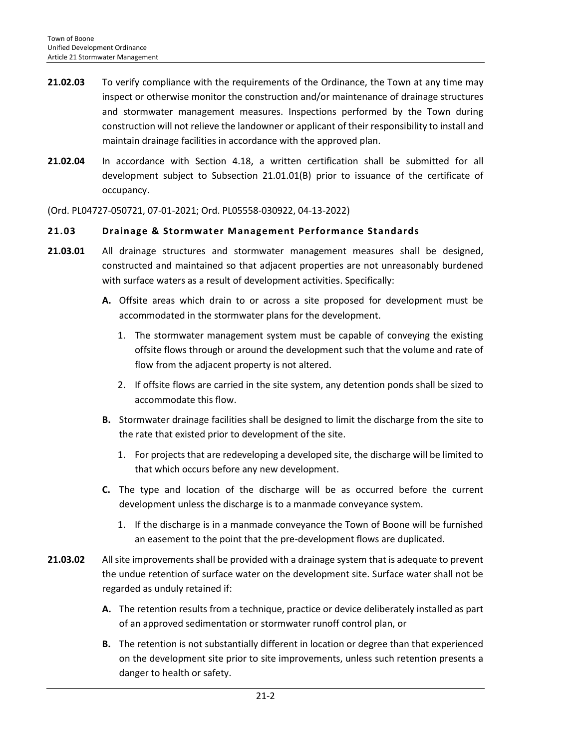- **21.02.03** To verify compliance with the requirements of the Ordinance, the Town at any time may inspect or otherwise monitor the construction and/or maintenance of drainage structures and stormwater management measures. Inspections performed by the Town during construction will not relieve the landowner or applicant of their responsibility to install and maintain drainage facilities in accordance with the approved plan.
- **21.02.04** In accordance with Section 4.18, a written certification shall be submitted for all development subject to Subsection 21.01.01(B) prior to issuance of the certificate of occupancy.

(Ord. PL04727-050721, 07-01-2021; Ord. PL05558-030922, 04-13-2022)

### <span id="page-1-0"></span>**21.03 Drainage & Stormwater Management Performance Standards**

- **21.03.01** All drainage structures and stormwater management measures shall be designed, constructed and maintained so that adjacent properties are not unreasonably burdened with surface waters as a result of development activities. Specifically:
	- **A.** Offsite areas which drain to or across a site proposed for development must be accommodated in the stormwater plans for the development.
		- 1. The stormwater management system must be capable of conveying the existing offsite flows through or around the development such that the volume and rate of flow from the adjacent property is not altered.
		- 2. If offsite flows are carried in the site system, any detention ponds shall be sized to accommodate this flow.
	- **B.** Stormwater drainage facilities shall be designed to limit the discharge from the site to the rate that existed prior to development of the site.
		- 1. For projects that are redeveloping a developed site, the discharge will be limited to that which occurs before any new development.
	- **C.** The type and location of the discharge will be as occurred before the current development unless the discharge is to a manmade conveyance system.
		- 1. If the discharge is in a manmade conveyance the Town of Boone will be furnished an easement to the point that the pre-development flows are duplicated.
- **21.03.02** All site improvements shall be provided with a drainage system that is adequate to prevent the undue retention of surface water on the development site. Surface water shall not be regarded as unduly retained if:
	- **A.** The retention results from a technique, practice or device deliberately installed as part of an approved sedimentation or stormwater runoff control plan, or
	- **B.** The retention is not substantially different in location or degree than that experienced on the development site prior to site improvements, unless such retention presents a danger to health or safety.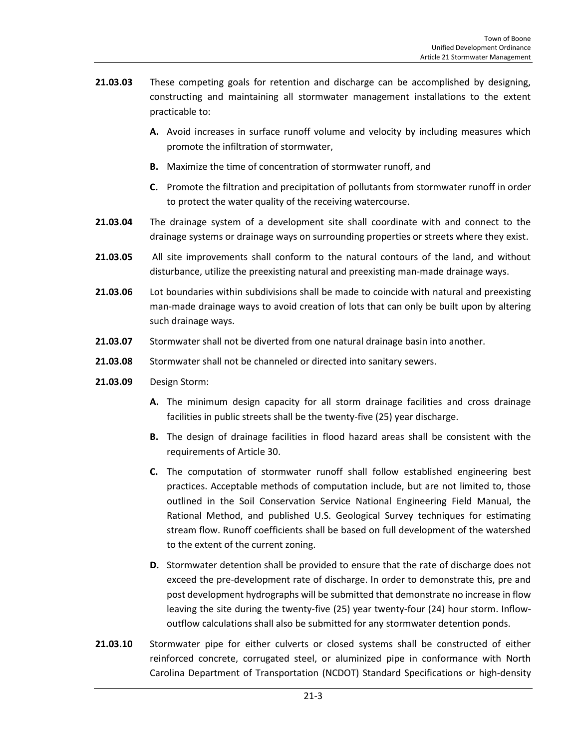- **21.03.03** These competing goals for retention and discharge can be accomplished by designing, constructing and maintaining all stormwater management installations to the extent practicable to:
	- **A.** Avoid increases in surface runoff volume and velocity by including measures which promote the infiltration of stormwater,
	- **B.** Maximize the time of concentration of stormwater runoff, and
	- **C.** Promote the filtration and precipitation of pollutants from stormwater runoff in order to protect the water quality of the receiving watercourse.
- **21.03.04** The drainage system of a development site shall coordinate with and connect to the drainage systems or drainage ways on surrounding properties or streets where they exist.
- **21.03.05** All site improvements shall conform to the natural contours of the land, and without disturbance, utilize the preexisting natural and preexisting man-made drainage ways.
- **21.03.06** Lot boundaries within subdivisions shall be made to coincide with natural and preexisting man-made drainage ways to avoid creation of lots that can only be built upon by altering such drainage ways.
- **21.03.07** Stormwater shall not be diverted from one natural drainage basin into another.
- **21.03.08** Stormwater shall not be channeled or directed into sanitary sewers.
- **21.03.09** Design Storm:
	- **A.** The minimum design capacity for all storm drainage facilities and cross drainage facilities in public streets shall be the twenty-five (25) year discharge.
	- **B.** The design of drainage facilities in flood hazard areas shall be consistent with the requirements of Article 30.
	- **C.** The computation of stormwater runoff shall follow established engineering best practices. Acceptable methods of computation include, but are not limited to, those outlined in the Soil Conservation Service National Engineering Field Manual, the Rational Method, and published U.S. Geological Survey techniques for estimating stream flow. Runoff coefficients shall be based on full development of the watershed to the extent of the current zoning.
	- **D.** Stormwater detention shall be provided to ensure that the rate of discharge does not exceed the pre-development rate of discharge. In order to demonstrate this, pre and post development hydrographs will be submitted that demonstrate no increase in flow leaving the site during the twenty-five (25) year twenty-four (24) hour storm. Inflowoutflow calculations shall also be submitted for any stormwater detention ponds.
- **21.03.10** Stormwater pipe for either culverts or closed systems shall be constructed of either reinforced concrete, corrugated steel, or aluminized pipe in conformance with North Carolina Department of Transportation (NCDOT) Standard Specifications or high-density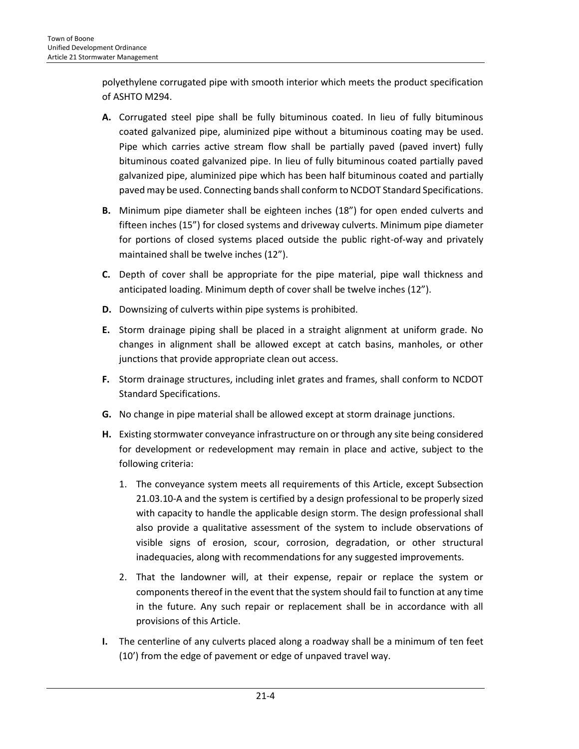polyethylene corrugated pipe with smooth interior which meets the product specification of ASHTO M294.

- **A.** Corrugated steel pipe shall be fully bituminous coated. In lieu of fully bituminous coated galvanized pipe, aluminized pipe without a bituminous coating may be used. Pipe which carries active stream flow shall be partially paved (paved invert) fully bituminous coated galvanized pipe. In lieu of fully bituminous coated partially paved galvanized pipe, aluminized pipe which has been half bituminous coated and partially paved may be used. Connecting bands shall conform to NCDOT Standard Specifications.
- **B.** Minimum pipe diameter shall be eighteen inches (18") for open ended culverts and fifteen inches (15") for closed systems and driveway culverts. Minimum pipe diameter for portions of closed systems placed outside the public right-of-way and privately maintained shall be twelve inches (12").
- **C.** Depth of cover shall be appropriate for the pipe material, pipe wall thickness and anticipated loading. Minimum depth of cover shall be twelve inches (12").
- **D.** Downsizing of culverts within pipe systems is prohibited.
- **E.** Storm drainage piping shall be placed in a straight alignment at uniform grade. No changes in alignment shall be allowed except at catch basins, manholes, or other junctions that provide appropriate clean out access.
- **F.** Storm drainage structures, including inlet grates and frames, shall conform to NCDOT Standard Specifications.
- **G.** No change in pipe material shall be allowed except at storm drainage junctions.
- **H.** Existing stormwater conveyance infrastructure on or through any site being considered for development or redevelopment may remain in place and active, subject to the following criteria:
	- 1. The conveyance system meets all requirements of this Article, except Subsection 21.03.10-A and the system is certified by a design professional to be properly sized with capacity to handle the applicable design storm. The design professional shall also provide a qualitative assessment of the system to include observations of visible signs of erosion, scour, corrosion, degradation, or other structural inadequacies, along with recommendations for any suggested improvements.
	- 2. That the landowner will, at their expense, repair or replace the system or components thereof in the event that the system should fail to function at any time in the future. Any such repair or replacement shall be in accordance with all provisions of this Article.
- **I.** The centerline of any culverts placed along a roadway shall be a minimum of ten feet (10') from the edge of pavement or edge of unpaved travel way.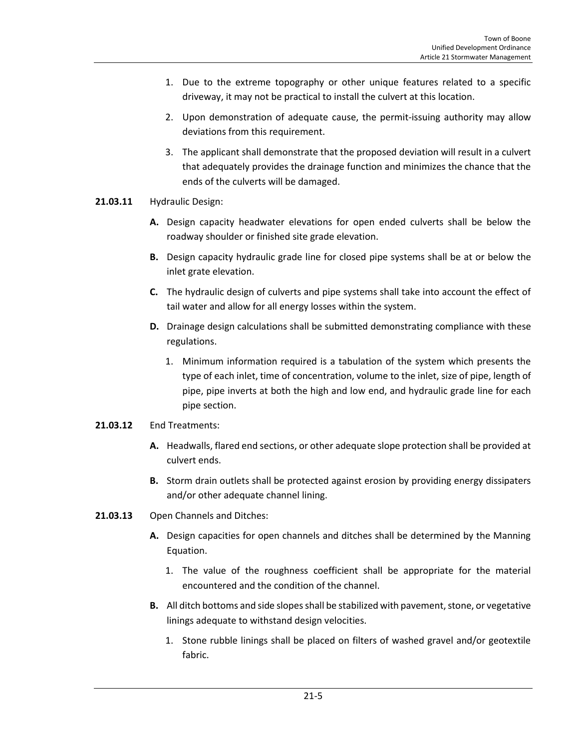- 1. Due to the extreme topography or other unique features related to a specific driveway, it may not be practical to install the culvert at this location.
- 2. Upon demonstration of adequate cause, the permit-issuing authority may allow deviations from this requirement.
- 3. The applicant shall demonstrate that the proposed deviation will result in a culvert that adequately provides the drainage function and minimizes the chance that the ends of the culverts will be damaged.

### **21.03.11** Hydraulic Design:

- **A.** Design capacity headwater elevations for open ended culverts shall be below the roadway shoulder or finished site grade elevation.
- **B.** Design capacity hydraulic grade line for closed pipe systems shall be at or below the inlet grate elevation.
- **C.** The hydraulic design of culverts and pipe systems shall take into account the effect of tail water and allow for all energy losses within the system.
- **D.** Drainage design calculations shall be submitted demonstrating compliance with these regulations.
	- 1. Minimum information required is a tabulation of the system which presents the type of each inlet, time of concentration, volume to the inlet, size of pipe, length of pipe, pipe inverts at both the high and low end, and hydraulic grade line for each pipe section.

### **21.03.12** End Treatments:

- **A.** Headwalls, flared end sections, or other adequate slope protection shall be provided at culvert ends.
- **B.** Storm drain outlets shall be protected against erosion by providing energy dissipaters and/or other adequate channel lining.
- **21.03.13** Open Channels and Ditches:
	- **A.** Design capacities for open channels and ditches shall be determined by the Manning Equation.
		- 1. The value of the roughness coefficient shall be appropriate for the material encountered and the condition of the channel.
	- **B.** All ditch bottoms and side slopes shall be stabilized with pavement, stone, or vegetative linings adequate to withstand design velocities.
		- 1. Stone rubble linings shall be placed on filters of washed gravel and/or geotextile fabric.